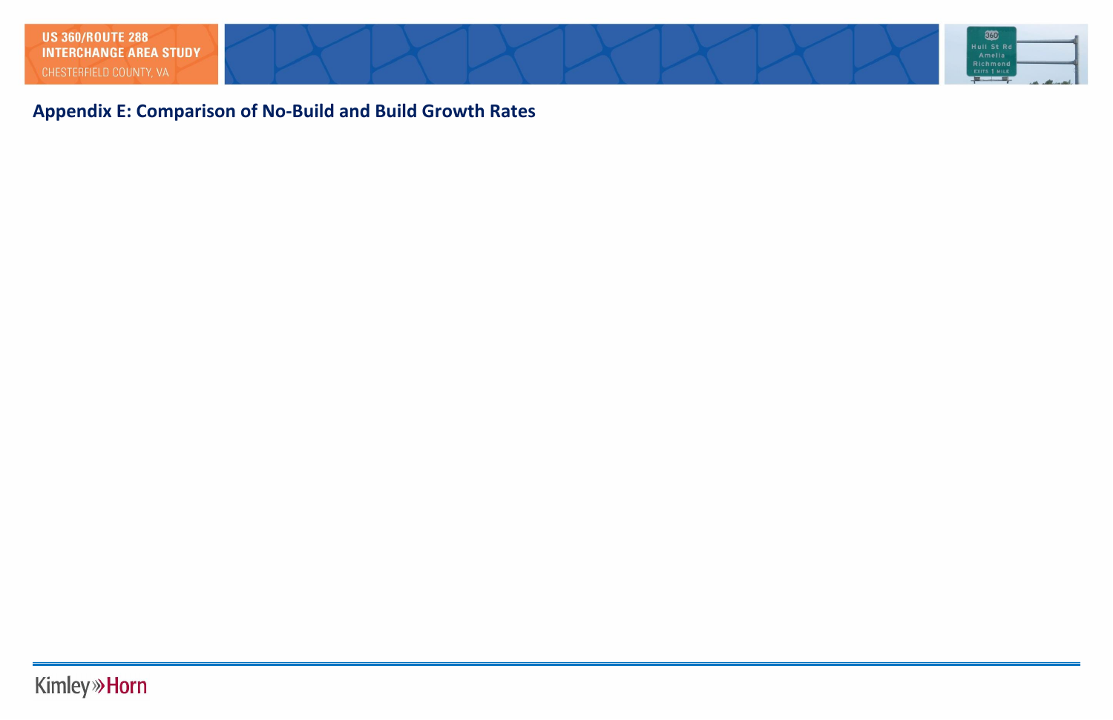**Appendix E: Comparison of No-Build and Build Growth Rates**

## **Kimley » Horn**